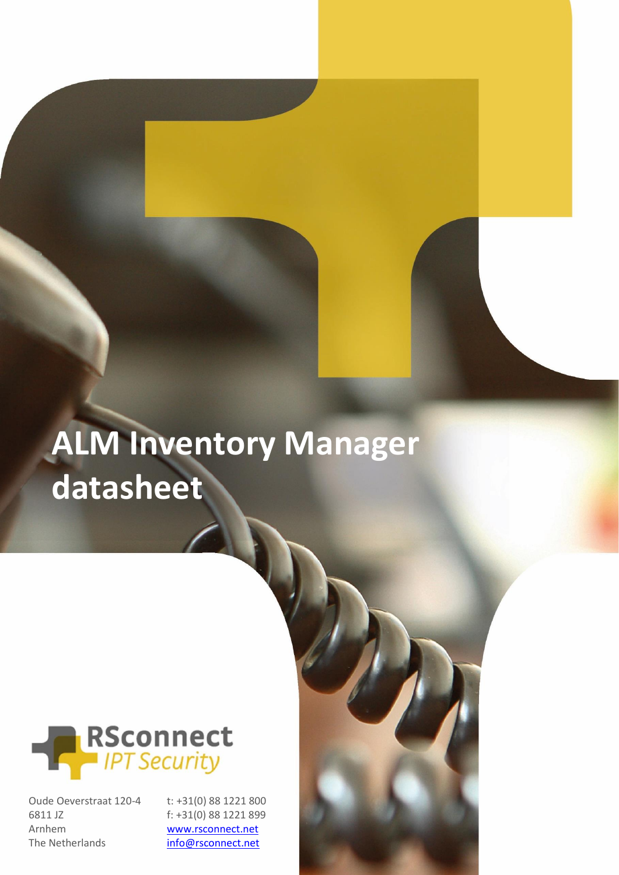# **ALM Inventory Manager datasheet**



Oude Oeverstraat 120-4 6811 JZ Arnhem The Netherlands

t: +31(0) 88 1221 800 f: +31(0) 88 1221 899 [www.rsconnect.net](http://www.rsconnect.net/) [info@rsconnect.net](mailto:info@rsconnect.net)

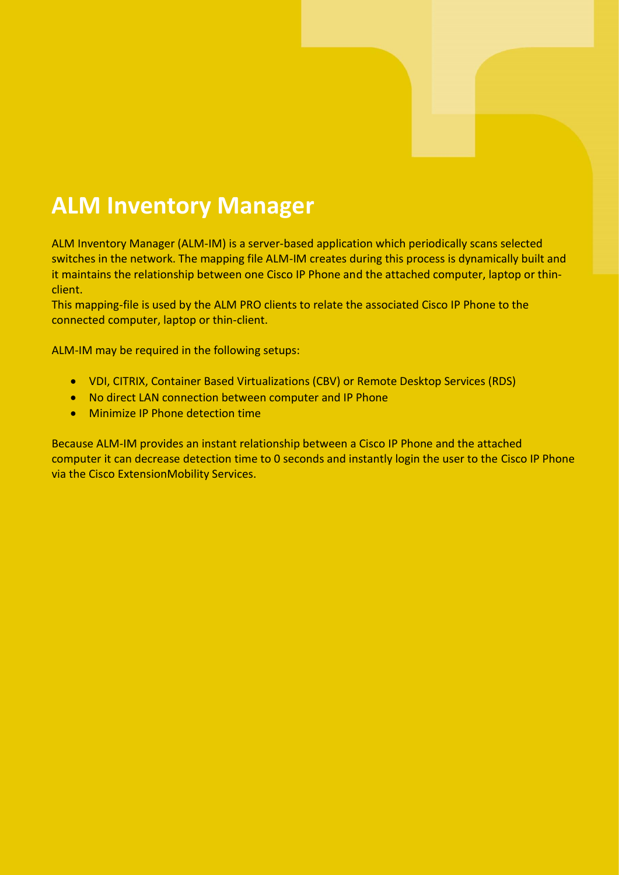### **ALM Inventory Manager**

ALM Inventory Manager (ALM-IM) is a server-based application which periodically scans selected switches in the network. The mapping file ALM-IM creates during this process is dynamically built and it maintains the relationship between one Cisco IP Phone and the attached computer, laptop or thinclient.

This mapping-file is used by the ALM PRO clients to relate the associated Cisco IP Phone to the connected computer, laptop or thin-client.

ALM-IM may be required in the following setups:

- VDI, CITRIX, Container Based Virtualizations (CBV) or Remote Desktop Services (RDS)
- No direct LAN connection between computer and IP Phone
- Minimize IP Phone detection time

Because ALM-IM provides an instant relationship between a Cisco IP Phone and the attached computer it can decrease detection time to 0 seconds and instantly login the user to the Cisco IP Phone via the Cisco ExtensionMobility Services.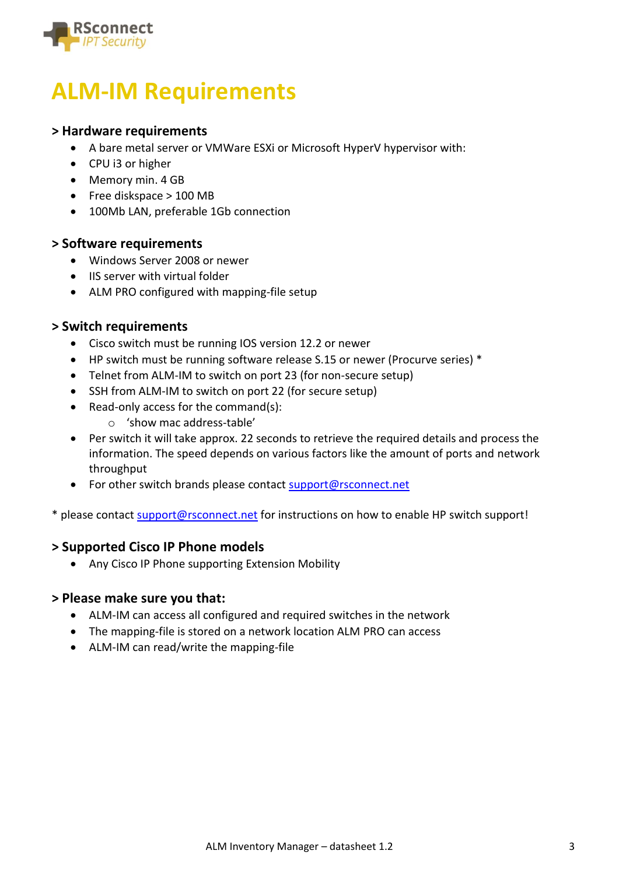

### **ALM-IM Requirements**

#### **> Hardware requirements**

- A bare metal server or VMWare ESXi or Microsoft HyperV hypervisor with:
- CPU i3 or higher
- Memory min. 4 GB
- Free diskspace > 100 MB
- 100Mb LAN, preferable 1Gb connection

#### **> Software requirements**

- Windows Server 2008 or newer
- IIS server with virtual folder
- ALM PRO configured with mapping-file setup

#### **> Switch requirements**

- Cisco switch must be running IOS version 12.2 or newer
- HP switch must be running software release S.15 or newer (Procurve series) \*
- Telnet from ALM-IM to switch on port 23 (for non-secure setup)
- SSH from ALM-IM to switch on port 22 (for secure setup)
- Read-only access for the command(s):
	- o 'show mac address-table'
- Per switch it will take approx. 22 seconds to retrieve the required details and process the information. The speed depends on various factors like the amount of ports and network throughput
- For other switch brands please contac[t support@rsconnect.net](mailto:support@rsconnect.net)

\* please contact [support@rsconnect.net](mailto:support@rsconnect.net) for instructions on how to enable HP switch support!

#### **> Supported Cisco IP Phone models**

• Any Cisco IP Phone supporting Extension Mobility

#### **> Please make sure you that:**

- ALM-IM can access all configured and required switches in the network
- The mapping-file is stored on a network location ALM PRO can access
- ALM-IM can read/write the mapping-file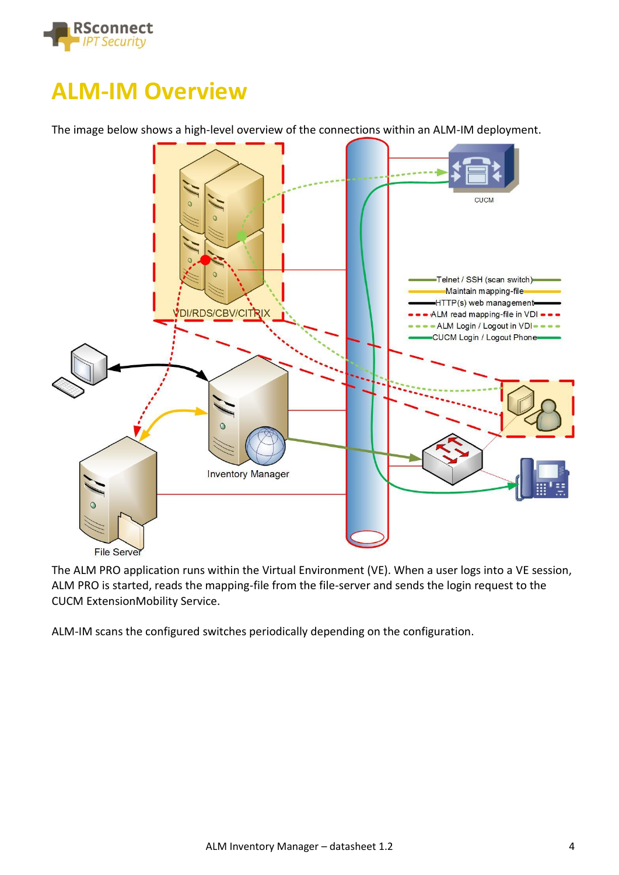

### **ALM-IM Overview**

The image below shows a high-level overview of the connections within an ALM-IM deployment.



The ALM PRO application runs within the Virtual Environment (VE). When a user logs into a VE session, ALM PRO is started, reads the mapping-file from the file-server and sends the login request to the CUCM ExtensionMobility Service.

ALM-IM scans the configured switches periodically depending on the configuration.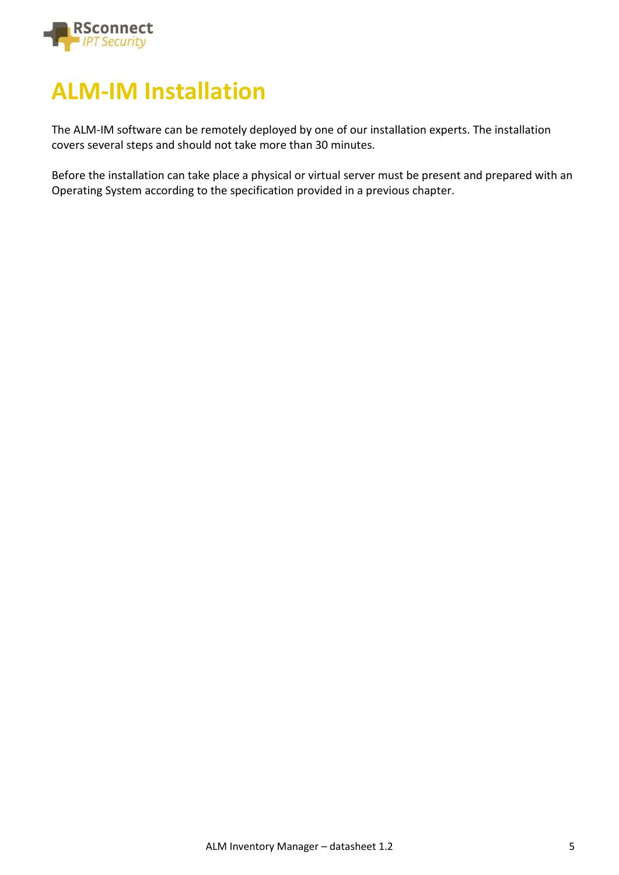

### **ALM-IM Installation**

The ALM-IM software can be remotely deployed by one of our installation experts. The installation covers several steps and should not take more than 30 minutes.

Before the installation can take place a physical or virtual server must be present and prepared with an Operating System according to the specification provided in a previous chapter.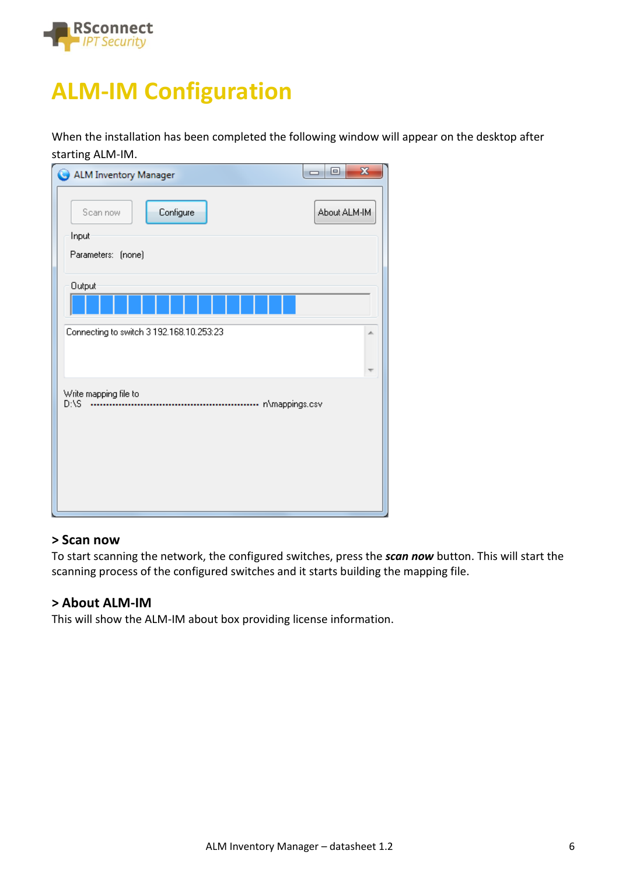

# **ALM-IM Configuration**

When the installation has been completed the following window will appear on the desktop after starting ALM-IM.

| ALM Inventory Manager                                | $\mathbf{x}$<br>$\Box$ $\Box$ |
|------------------------------------------------------|-------------------------------|
| Configure<br>Scan now<br>Input<br>Parameters: (none) | About ALM-IM                  |
| Output                                               |                               |
| Connecting to switch 3 192.168.10.253:23             | ∸                             |
| Write mapping file to<br>D:\S                        |                               |

#### **> Scan now**

To start scanning the network, the configured switches, press the *scan now* button. This will start the scanning process of the configured switches and it starts building the mapping file.

#### **> About ALM-IM**

This will show the ALM-IM about box providing license information.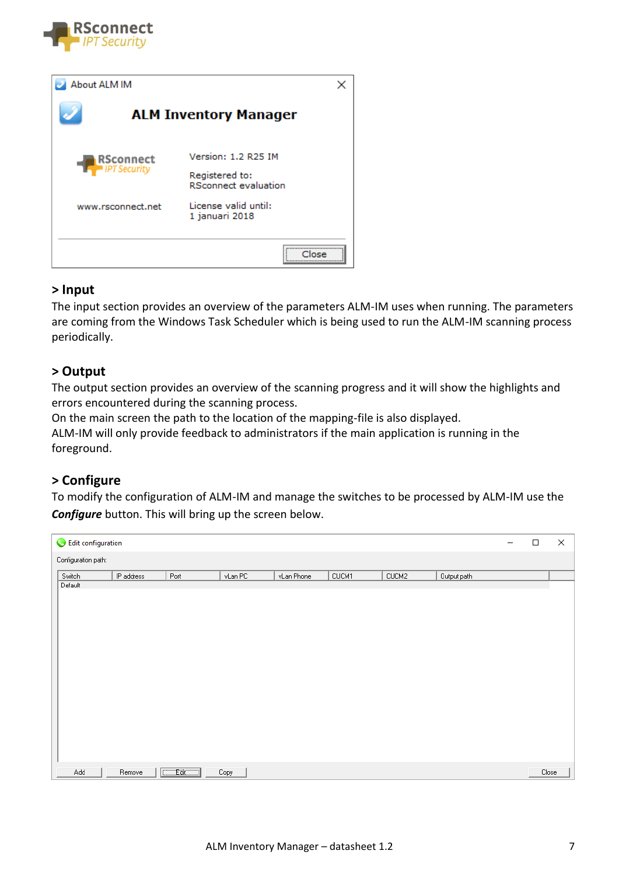

| About ALM IM        |                                               |
|---------------------|-----------------------------------------------|
|                     | <b>ALM Inventory Manager</b>                  |
| <b>RSconnect</b>    | Version: 1.2 R25 IM                           |
| <b>IPT Security</b> | Registered to:<br><b>RSconnect evaluation</b> |
| www.rsconnect.net   | License valid until:<br>1 januari 2018        |
|                     |                                               |

#### **> Input**

The input section provides an overview of the parameters ALM-IM uses when running. The parameters are coming from the Windows Task Scheduler which is being used to run the ALM-IM scanning process periodically.

#### **> Output**

The output section provides an overview of the scanning progress and it will show the highlights and errors encountered during the scanning process.

On the main screen the path to the location of the mapping-file is also displayed. ALM-IM will only provide feedback to administrators if the main application is running in the foreground.

#### **> Configure**

To modify the configuration of ALM-IM and manage the switches to be processed by ALM-IM use the *Configure* button. This will bring up the screen below.

| Edit configuration  |            |             |         |            |       |       |             | $\Box$ | × |
|---------------------|------------|-------------|---------|------------|-------|-------|-------------|--------|---|
| Configuration path: |            |             |         |            |       |       |             |        |   |
| Switch              | IP address | Port        | vLan PC | vLan Phone | CUCM1 | CUCM2 | Output path |        |   |
| Default             |            |             |         |            |       |       |             |        |   |
|                     |            |             |         |            |       |       |             |        |   |
|                     |            |             |         |            |       |       |             |        |   |
|                     |            |             |         |            |       |       |             |        |   |
|                     |            |             |         |            |       |       |             |        |   |
|                     |            |             |         |            |       |       |             |        |   |
|                     |            |             |         |            |       |       |             |        |   |
|                     |            |             |         |            |       |       |             |        |   |
|                     |            |             |         |            |       |       |             |        |   |
|                     |            |             |         |            |       |       |             |        |   |
|                     |            |             |         |            |       |       |             |        |   |
|                     |            |             |         |            |       |       |             |        |   |
|                     |            |             |         |            |       |       |             |        |   |
|                     |            |             |         |            |       |       |             |        |   |
|                     |            |             |         |            |       |       |             |        |   |
|                     |            |             |         |            |       |       |             |        |   |
|                     |            |             |         |            |       |       |             |        |   |
|                     |            |             |         |            |       |       |             |        |   |
| Add                 | Remove     | $C = Ed(C)$ | Copy    |            |       |       |             | Close  |   |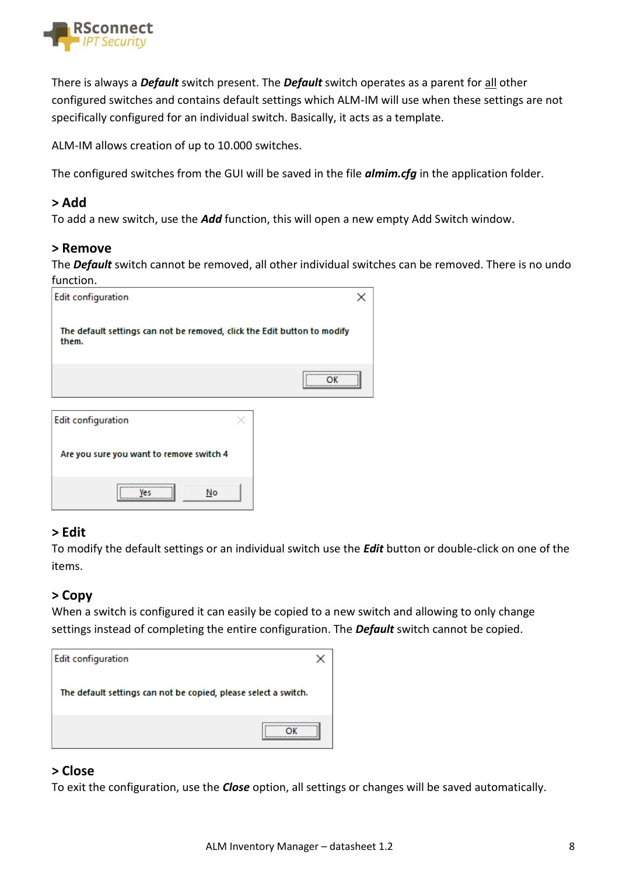

There is always a *Default* switch present. The *Default* switch operates as a parent for all other configured switches and contains default settings which ALM-IM will use when these settings are not specifically configured for an individual switch. Basically, it acts as a template.

ALM-IM allows creation of up to 10.000 switches.

The configured switches from the GUI will be saved in the file *almim.cfg* in the application folder.

#### **> Add**

To add a new switch, use the *Add* function, this will open a new empty Add Switch window.

#### **> Remove**

The *Default* switch cannot be removed, all other individual switches can be removed. There is no undo function.

| <b>Edit configuration</b>                                                         |       |  |
|-----------------------------------------------------------------------------------|-------|--|
| The default settings can not be removed, click the Edit button to modify<br>them. |       |  |
|                                                                                   | <br>\ |  |
| <b>Edit configuration</b>                                                         |       |  |
| Are you sure you want to remove switch 4                                          |       |  |

No

#### **> Edit**

Yes

To modify the default settings or an individual switch use the *Edit* button or double-click on one of the items.

#### **> Copy**

When a switch is configured it can easily be copied to a new switch and allowing to only change settings instead of completing the entire configuration. The *Default* switch cannot be copied.

| <b>Edit configuration</b>                                       |  |
|-----------------------------------------------------------------|--|
| The default settings can not be copied, please select a switch. |  |
|                                                                 |  |

#### **> Close**

To exit the configuration, use the *Close* option, all settings or changes will be saved automatically.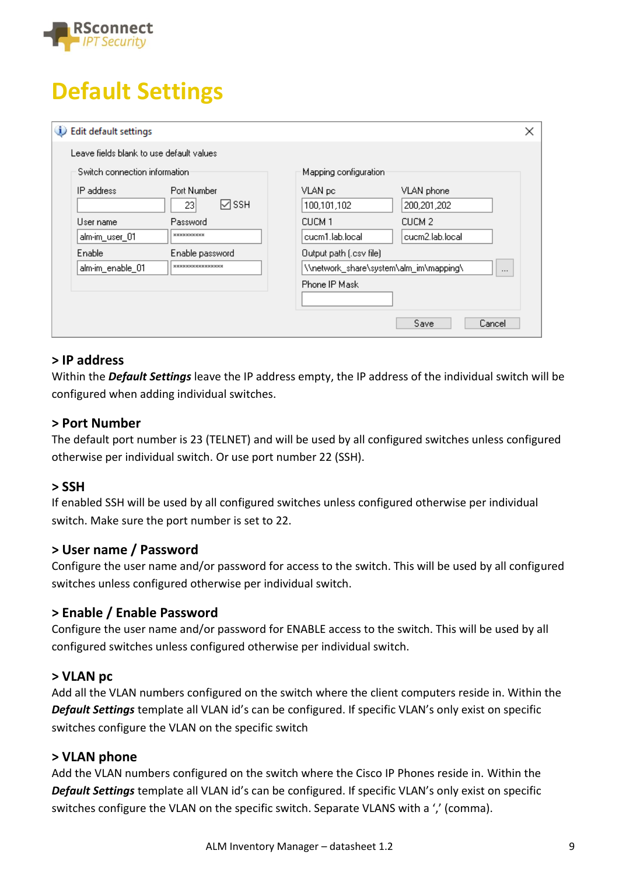

# **Default Settings**

| Edit default settings<br>ω                                                                                 | ×                                                                                                             |
|------------------------------------------------------------------------------------------------------------|---------------------------------------------------------------------------------------------------------------|
| Leave fields blank to use default values                                                                   |                                                                                                               |
| Switch connection information                                                                              | Mapping configuration                                                                                         |
| Port Number<br>IP address<br>⊠ ssh<br>23 <br>User name<br>Password<br><b>xxxxxxxxxxx</b><br>alm-im_user_01 | VLAN pc<br>VLAN phone<br>100,101,102<br>200,201,202<br>CUCM 1<br>CUCM 2<br>cucm1.lab.local<br>cucm2.lab.local |
| Enable<br>Enable password<br><b>xxxxxxxxxxxxxxxxx</b><br>alm-im_enable_01                                  | Output path (.csv file)<br>\\network_share\system\alm_im\mapping\<br>$\cdots$<br>Phone IP Mask                |
|                                                                                                            | Save<br>Cancel                                                                                                |

#### **> IP address**

Within the *Default Settings* leave the IP address empty, the IP address of the individual switch will be configured when adding individual switches.

#### **> Port Number**

The default port number is 23 (TELNET) and will be used by all configured switches unless configured otherwise per individual switch. Or use port number 22 (SSH).

#### **> SSH**

If enabled SSH will be used by all configured switches unless configured otherwise per individual switch. Make sure the port number is set to 22.

#### **> User name / Password**

Configure the user name and/or password for access to the switch. This will be used by all configured switches unless configured otherwise per individual switch.

#### **> Enable / Enable Password**

Configure the user name and/or password for ENABLE access to the switch. This will be used by all configured switches unless configured otherwise per individual switch.

#### **> VLAN pc**

Add all the VLAN numbers configured on the switch where the client computers reside in. Within the *Default Settings* template all VLAN id's can be configured. If specific VLAN's only exist on specific switches configure the VLAN on the specific switch

#### **> VLAN phone**

Add the VLAN numbers configured on the switch where the Cisco IP Phones reside in. Within the *Default Settings* template all VLAN id's can be configured. If specific VLAN's only exist on specific switches configure the VLAN on the specific switch. Separate VLANS with a ',' (comma).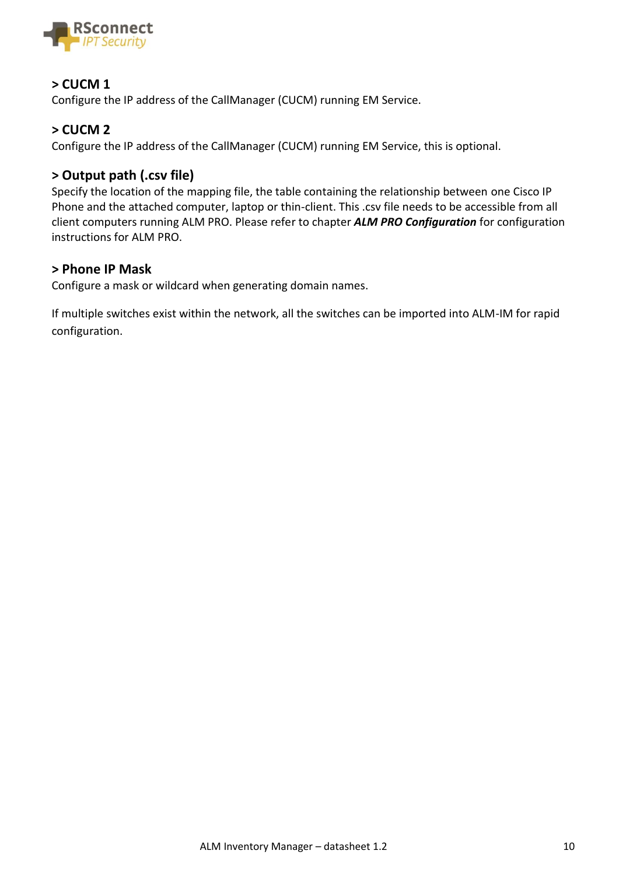

#### **> CUCM 1**

Configure the IP address of the CallManager (CUCM) running EM Service.

#### **> CUCM 2**

Configure the IP address of the CallManager (CUCM) running EM Service, this is optional.

#### **> Output path (.csv file)**

Specify the location of the mapping file, the table containing the relationship between one Cisco IP Phone and the attached computer, laptop or thin-client. This .csv file needs to be accessible from all client computers running ALM PRO. Please refer to chapter *ALM PRO Configuration* for configuration instructions for ALM PRO.

#### **> Phone IP Mask**

Configure a mask or wildcard when generating domain names.

If multiple switches exist within the network, all the switches can be imported into ALM-IM for rapid configuration.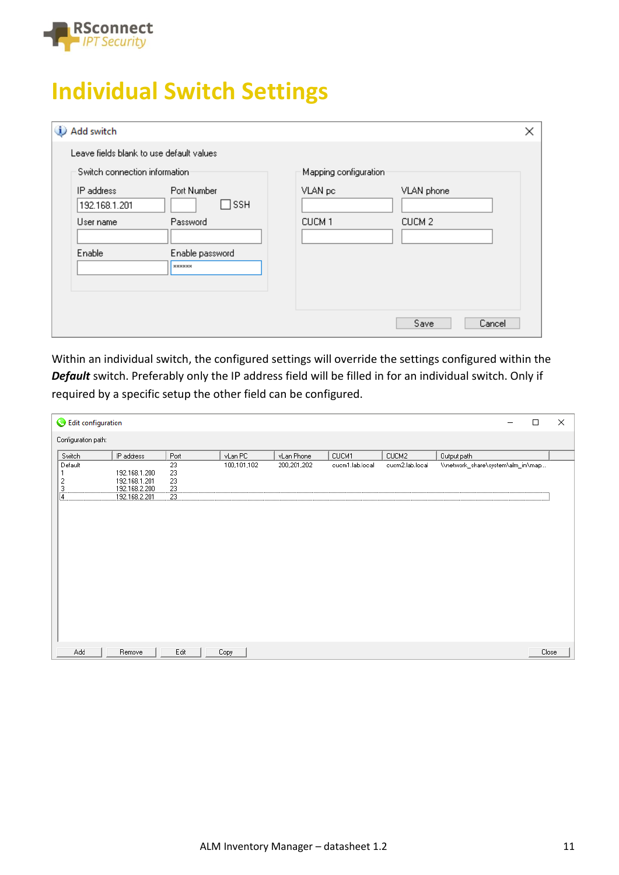

# **Individual Switch Settings**

| Add switch<br>D                          |                                         |                                                      | $\times$ |
|------------------------------------------|-----------------------------------------|------------------------------------------------------|----------|
| Leave fields blank to use default values |                                         |                                                      |          |
| Switch connection information            |                                         | Mapping configuration:                               |          |
| IP address<br>192.168.1.201<br>User name | Port Number<br>$\sqcap$ ssh<br>Password | VLAN pc<br>VLAN phone<br>CUCM 1<br>CUCM <sub>2</sub> |          |
| Enable                                   | Enable password<br><b>xxxxxxx</b>       |                                                      |          |
|                                          |                                         | Save                                                 | Cancel   |

Within an individual switch, the configured settings will override the settings configured within the *Default* switch. Preferably only the IP address field will be filled in for an individual switch. Only if required by a specific setup the other field can be configured.

| Edit configuration                                   |                                                                  |                                   |             |             |                 |                 |                                   | □ | $\times$ |
|------------------------------------------------------|------------------------------------------------------------------|-----------------------------------|-------------|-------------|-----------------|-----------------|-----------------------------------|---|----------|
| Configuration path:                                  |                                                                  |                                   |             |             |                 |                 |                                   |   |          |
| Switch                                               | IP address                                                       | Port                              | vLan PC     | vLan Phone  | CUCM1           | CUCM2           | Output path                       |   |          |
| Default<br>1<br>2<br>$\overline{3}$<br>$\frac{1}{4}$ | 192.168.1.200<br>192.168.1.201<br>192.168.2.200<br>192.168.2.201 | 23<br>23<br>23<br>$\frac{23}{23}$ | 100,101,102 | 200,201,202 | cucm1.lab.local | cucm2.lab.local | \\network_share\system\alm_im\map |   |          |
| Add                                                  | Remove                                                           | Edit                              | Copy        |             |                 |                 |                                   |   | Close    |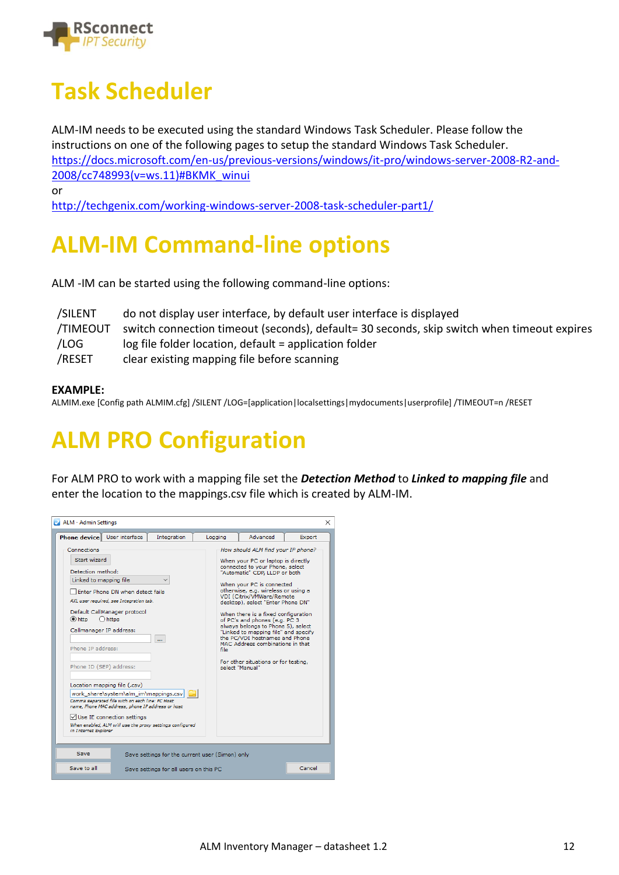

# **Task Scheduler**

ALM-IM needs to be executed using the standard Windows Task Scheduler. Please follow the instructions on one of the following pages to setup the standard Windows Task Scheduler. [https://docs.microsoft.com/en-us/previous-versions/windows/it-pro/windows-server-2008-R2-and-](https://docs.microsoft.com/en-us/previous-versions/windows/it-pro/windows-server-2008-R2-and-2008/cc748993(v=ws.11)#BKMK_winui)[2008/cc748993\(v=ws.11\)#BKMK\\_winui](https://docs.microsoft.com/en-us/previous-versions/windows/it-pro/windows-server-2008-R2-and-2008/cc748993(v=ws.11)#BKMK_winui)

or

<http://techgenix.com/working-windows-server-2008-task-scheduler-part1/>

# **ALM-IM Command-line options**

ALM -IM can be started using the following command-line options:

| /SILENT  | do not display user interface, by default user interface is displayed                      |
|----------|--------------------------------------------------------------------------------------------|
| /TIMEOUT | switch connection timeout (seconds), default= 30 seconds, skip switch when timeout expires |
| /LOG     | log file folder location, default = application folder                                     |
| /RESET   | clear existing mapping file before scanning                                                |

#### **EXAMPLE:**

ALMIM.exe [Config path ALMIM.cfg] /SILENT /LOG=[application|localsettings|mydocuments|userprofile] /TIMEOUT=n /RESET

# **ALM PRO Configuration**

For ALM PRO to work with a mapping file set the *Detection Method* to *Linked to mapping file* and enter the location to the mappings.csv file which is created by ALM-IM.